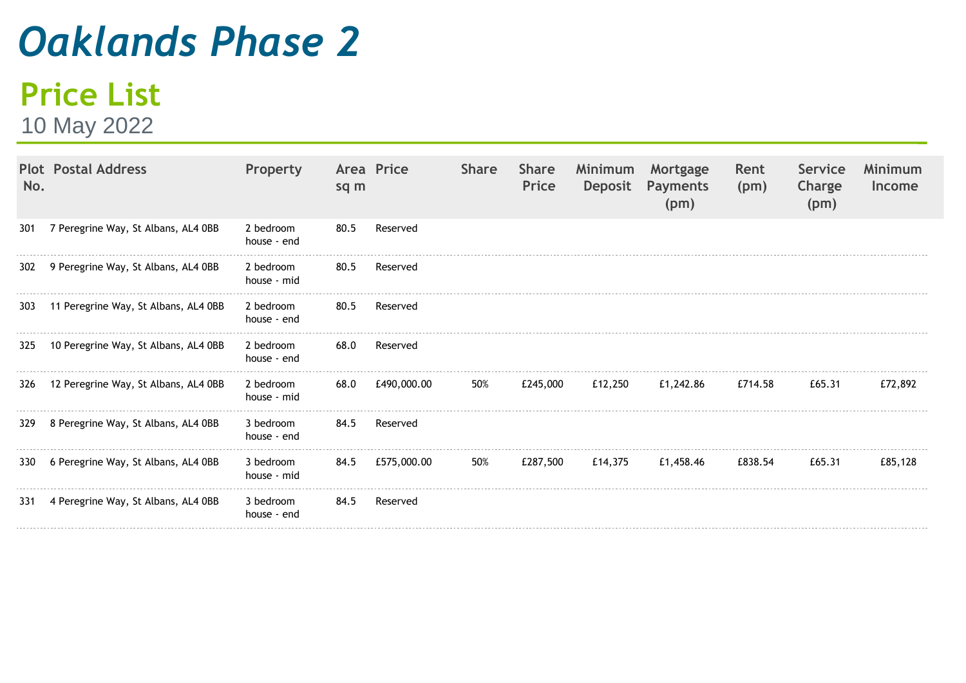## *Oaklands Phase 2*

## **Price List**

10 May 2022

| No.   | <b>Plot Postal Address</b>               | Property                 | sq m | Area Price  | <b>Share</b> | <b>Share</b><br>Price | Minimum<br>Deposit | Mortgage<br><b>Payments</b><br>(pm) | Rent<br>(pm) | Service<br>Charge<br>(pm) | <b>Minimum</b><br><b>Income</b> |
|-------|------------------------------------------|--------------------------|------|-------------|--------------|-----------------------|--------------------|-------------------------------------|--------------|---------------------------|---------------------------------|
| 301   | 7 Peregrine Way, St Albans, AL4 0BB      | 2 bedroom<br>house - end | 80.5 | Reserved    |              |                       |                    |                                     |              |                           |                                 |
| 302   | 9 Peregrine Way, St Albans, AL4 0BB      | 2 bedroom<br>house - mid | 80.5 | Reserved    |              |                       |                    |                                     |              |                           |                                 |
| 303   | 11 Peregrine Way, St Albans, AL4 0BB     | 2 bedroom<br>house - end | 80.5 | Reserved    |              |                       |                    |                                     |              |                           |                                 |
| 325   | 10 Peregrine Way, St Albans, AL4 0BB     | 2 bedroom<br>house - end | 68.0 | Reserved    |              |                       |                    |                                     |              |                           |                                 |
|       | 326 12 Peregrine Way, St Albans, AL4 0BB | 2 bedroom<br>house - mid | 68.0 | £490,000.00 | 50%          | £245,000              | £12,250            | £1,242.86                           | £714.58      | £65.31                    | £72,892                         |
| 329   | 8 Peregrine Way, St Albans, AL4 0BB      | 3 bedroom<br>house - end | 84.5 | Reserved    |              |                       |                    |                                     |              |                           |                                 |
| 330 l | 6 Peregrine Way, St Albans, AL4 0BB      | 3 bedroom<br>house - mid | 84.5 | £575,000.00 | 50%          | £287,500              | £14.375            | £1,458.46                           | £838.54      | £65.31                    | £85,128                         |
| 331   | 4 Peregrine Way, St Albans, AL4 0BB      | 3 bedroom<br>house - end | 84.5 | Reserved    |              |                       |                    |                                     |              |                           |                                 |